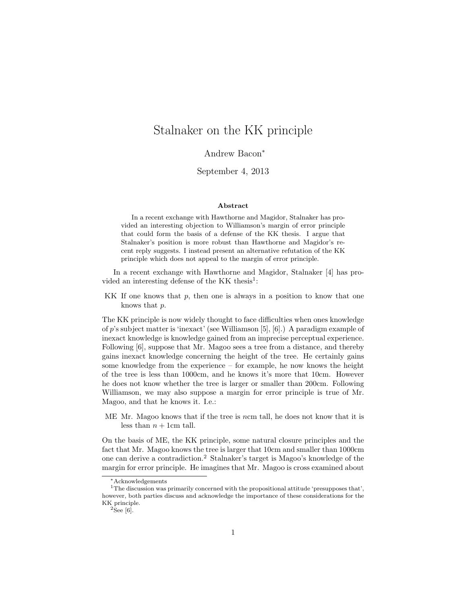# Stalnaker on the KK principle

Andrew Bacon<sup>∗</sup>

September 4, 2013

#### Abstract

In a recent exchange with Hawthorne and Magidor, Stalnaker has provided an interesting objection to Williamson's margin of error principle that could form the basis of a defense of the KK thesis. I argue that Stalnaker's position is more robust than Hawthorne and Magidor's recent reply suggests. I instead present an alternative refutation of the KK principle which does not appeal to the margin of error principle.

In a recent exchange with Hawthorne and Magidor, Stalnaker [4] has provided an interesting defense of the KK thesis<sup>1</sup>:

KK If one knows that  $p$ , then one is always in a position to know that one knows that p.

The KK principle is now widely thought to face difficulties when ones knowledge of p's subject matter is 'inexact' (see Williamson [5],  $[6]$ .) A paradigm example of inexact knowledge is knowledge gained from an imprecise perceptual experience. Following [6], suppose that Mr. Magoo sees a tree from a distance, and thereby gains inexact knowledge concerning the height of the tree. He certainly gains some knowledge from the experience – for example, he now knows the height of the tree is less than 1000cm, and he knows it's more that 10cm. However he does not know whether the tree is larger or smaller than 200cm. Following Williamson, we may also suppose a margin for error principle is true of Mr. Magoo, and that he knows it. I.e.:

ME Mr. Magoo knows that if the tree is ncm tall, he does not know that it is less than  $n + 1$ cm tall.

On the basis of ME, the KK principle, some natural closure principles and the fact that Mr. Magoo knows the tree is larger that 10cm and smaller than 1000cm one can derive a contradiction.<sup>2</sup> Stalnaker's target is Magoo's knowledge of the margin for error principle. He imagines that Mr. Magoo is cross examined about

<sup>∗</sup>Acknowledgements

<sup>&</sup>lt;sup>1</sup>The discussion was primarily concerned with the propositional attitude 'presupposes that', however, both parties discuss and acknowledge the importance of these considerations for the KK principle.

 $^2\mathrm{See}$  [6].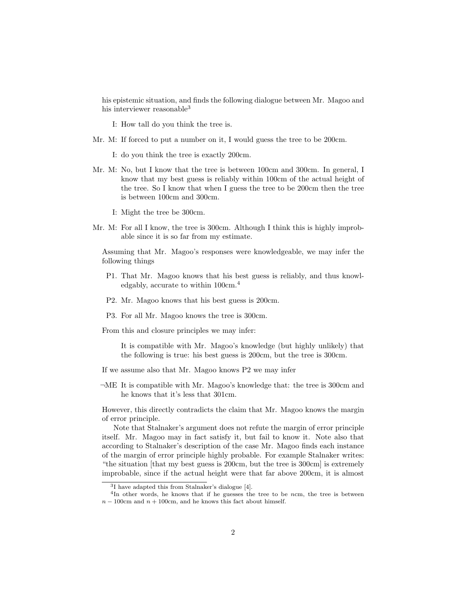his epistemic situation, and finds the following dialogue between Mr. Magoo and his interviewer reasonable<sup>3</sup>

I: How tall do you think the tree is.

- Mr. M: If forced to put a number on it, I would guess the tree to be 200cm.
	- I: do you think the tree is exactly 200cm.
- Mr. M: No, but I know that the tree is between 100cm and 300cm. In general, I know that my best guess is reliably within 100cm of the actual height of the tree. So I know that when I guess the tree to be 200cm then the tree is between 100cm and 300cm.
	- I: Might the tree be 300cm.
- Mr. M: For all I know, the tree is 300cm. Although I think this is highly improbable since it is so far from my estimate.

Assuming that Mr. Magoo's responses were knowledgeable, we may infer the following things

- P1. That Mr. Magoo knows that his best guess is reliably, and thus knowledgably, accurate to within  $100 \text{cm}^4$ .
- P2. Mr. Magoo knows that his best guess is 200cm.
- P3. For all Mr. Magoo knows the tree is 300cm.

From this and closure principles we may infer:

It is compatible with Mr. Magoo's knowledge (but highly unlikely) that the following is true: his best guess is 200cm, but the tree is 300cm.

- If we assume also that Mr. Magoo knows P2 we may infer
- ¬ME It is compatible with Mr. Magoo's knowledge that: the tree is 300cm and he knows that it's less that 301cm.

However, this directly contradicts the claim that Mr. Magoo knows the margin of error principle.

Note that Stalnaker's argument does not refute the margin of error principle itself. Mr. Magoo may in fact satisfy it, but fail to know it. Note also that according to Stalnaker's description of the case Mr. Magoo finds each instance of the margin of error principle highly probable. For example Stalnaker writes: "the situation [that my best guess is 200cm, but the tree is 300cm] is extremely improbable, since if the actual height were that far above 200cm, it is almost

<sup>3</sup> I have adapted this from Stalnaker's dialogue [4].

<sup>&</sup>lt;sup>4</sup>In other words, he knows that if he guesses the tree to be ncm, the tree is between  $n - 100$ cm and  $n + 100$ cm, and he knows this fact about himself.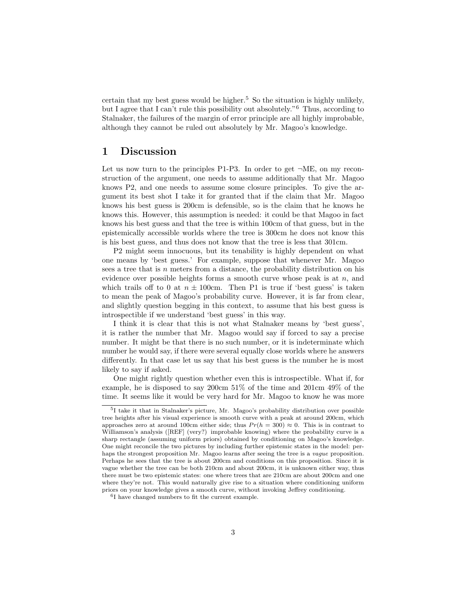certain that my best guess would be higher.<sup>5</sup> So the situation is highly unlikely, but I agree that I can't rule this possibility out absolutely."<sup>6</sup> Thus, according to Stalnaker, the failures of the margin of error principle are all highly improbable, although they cannot be ruled out absolutely by Mr. Magoo's knowledge.

### 1 Discussion

Let us now turn to the principles P1-P3. In order to get  $\neg ME$ , on my reconstruction of the argument, one needs to assume additionally that Mr. Magoo knows P2, and one needs to assume some closure principles. To give the argument its best shot I take it for granted that if the claim that Mr. Magoo knows his best guess is 200cm is defensible, so is the claim that he knows he knows this. However, this assumption is needed: it could be that Magoo in fact knows his best guess and that the tree is within 100cm of that guess, but in the epistemically accessible worlds where the tree is 300cm he does not know this is his best guess, and thus does not know that the tree is less that 301cm.

P2 might seem innocuous, but its tenability is highly dependent on what one means by 'best guess.' For example, suppose that whenever Mr. Magoo sees a tree that is  $n$  meters from a distance, the probability distribution on his evidence over possible heights forms a smooth curve whose peak is at  $n$ , and which trails off to 0 at  $n \pm 100$ cm. Then P1 is true if 'best guess' is taken to mean the peak of Magoo's probability curve. However, it is far from clear, and slightly question begging in this context, to assume that his best guess is introspectible if we understand 'best guess' in this way.

I think it is clear that this is not what Stalnaker means by 'best guess', it is rather the number that Mr. Magoo would say if forced to say a precise number. It might be that there is no such number, or it is indeterminate which number he would say, if there were several equally close worlds where he answers differently. In that case let us say that his best guess is the number he is most likely to say if asked.

One might rightly question whether even this is introspectible. What if, for example, he is disposed to say 200cm 51% of the time and 201cm 49% of the time. It seems like it would be very hard for Mr. Magoo to know he was more

<sup>5</sup> I take it that in Stalnaker's picture, Mr. Magoo's probability distribution over possible tree heights after his visual experience is smooth curve with a peak at around 200cm, which approaches zero at around 100cm either side; thus  $Pr(h = 300) \approx 0$ . This is in contrast to Williamson's analysis ([REF] (very?) improbable knowing) where the probability curve is a sharp rectangle (assuming uniform priors) obtained by conditioning on Magoo's knowledge. One might reconcile the two pictures by including further epistemic states in the model: perhaps the strongest proposition Mr. Magoo learns after seeing the tree is a *vaque* proposition. Perhaps he sees that the tree is about 200cm and conditions on this proposition. Since it is vague whether the tree can be both 210cm and about 200cm, it is unknown either way, thus there must be two epistemic states: one where trees that are 210cm are about 200cm and one where they're not. This would naturally give rise to a situation where conditioning uniform priors on your knowledge gives a smooth curve, without invoking Jeffrey conditioning.

<sup>6</sup> I have changed numbers to fit the current example.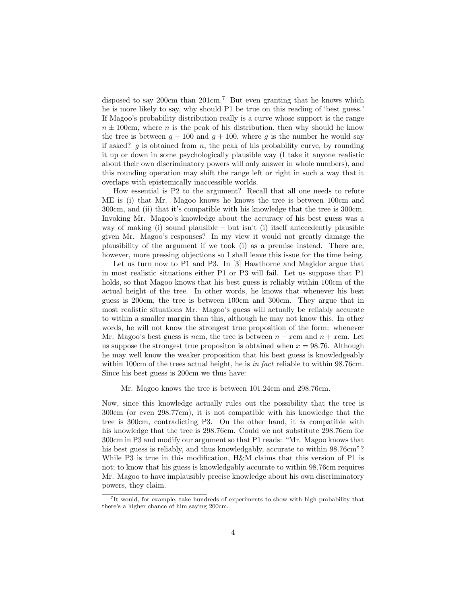disposed to say 200cm than 201cm.<sup>7</sup> But even granting that he knows which he is more likely to say, why should P1 be true on this reading of 'best guess.' If Magoo's probability distribution really is a curve whose support is the range  $n \pm 100$ cm, where n is the peak of his distribution, then why should he know the tree is between  $g - 100$  and  $g + 100$ , where g is the number he would say if asked?  $g$  is obtained from  $n$ , the peak of his probability curve, by rounding it up or down in some psychologically plausible way (I take it anyone realistic about their own discriminatory powers will only answer in whole numbers), and this rounding operation may shift the range left or right in such a way that it overlaps with epistemically inaccessible worlds.

How essential is P2 to the argument? Recall that all one needs to refute ME is (i) that Mr. Magoo knows he knows the tree is between 100cm and 300cm, and (ii) that it's compatible with his knowledge that the tree is 300cm. Invoking Mr. Magoo's knowledge about the accuracy of his best guess was a way of making (i) sound plausible – but isn't (i) itself antecedently plausible given Mr. Magoo's responses? In my view it would not greatly damage the plausibility of the argument if we took (i) as a premise instead. There are, however, more pressing objections so I shall leave this issue for the time being.

Let us turn now to P1 and P3. In [3] Hawthorne and Magidor argue that in most realistic situations either P1 or P3 will fail. Let us suppose that P1 holds, so that Magoo knows that his best guess is reliably within 100cm of the actual height of the tree. In other words, he knows that whenever his best guess is 200cm, the tree is between 100cm and 300cm. They argue that in most realistic situations Mr. Magoo's guess will actually be reliably accurate to within a smaller margin than this, although he may not know this. In other words, he will not know the strongest true proposition of the form: whenever Mr. Magoo's best guess is ncm, the tree is between  $n - x$ cm and  $n + x$ cm. Let us suppose the strongest true propositon is obtained when  $x = 98.76$ . Although he may well know the weaker proposition that his best guess is knowledgeably within 100cm of the trees actual height, he is in fact reliable to within 98.76cm. Since his best guess is 200cm we thus have:

#### Mr. Magoo knows the tree is between 101.24cm and 298.76cm.

Now, since this knowledge actually rules out the possibility that the tree is 300cm (or even 298.77cm), it is not compatible with his knowledge that the tree is 300cm, contradicting P3. On the other hand, it is compatible with his knowledge that the tree is 298.76cm. Could we not substitute 298.76cm for 300cm in P3 and modify our argument so that P1 reads: "Mr. Magoo knows that his best guess is reliably, and thus knowledgably, accurate to within 98.76cm"? While P3 is true in this modification, H&M claims that this version of P1 is not; to know that his guess is knowledgably accurate to within 98.76cm requires Mr. Magoo to have implausibly precise knowledge about his own discriminatory powers, they claim.

<sup>&</sup>lt;sup>7</sup>It would, for example, take hundreds of experiments to show with high probability that there's a higher chance of him saying 200cm.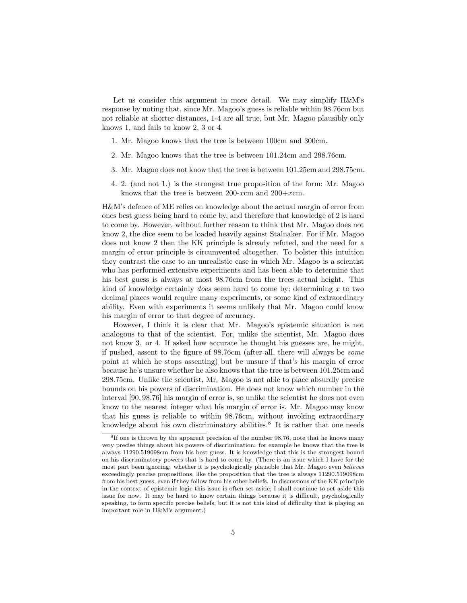Let us consider this argument in more detail. We may simplify H&M's response by noting that, since Mr. Magoo's guess is reliable within 98.76cm but not reliable at shorter distances, 1-4 are all true, but Mr. Magoo plausibly only knows 1, and fails to know 2, 3 or 4.

- 1. Mr. Magoo knows that the tree is between 100cm and 300cm.
- 2. Mr. Magoo knows that the tree is between 101.24cm and 298.76cm.
- 3. Mr. Magoo does not know that the tree is between 101.25cm and 298.75cm.
- 4. 2. (and not 1.) is the strongest true proposition of the form: Mr. Magoo knows that the tree is between 200-xcm and  $200+*x*cm$ .

H&M's defence of ME relies on knowledge about the actual margin of error from ones best guess being hard to come by, and therefore that knowledge of 2 is hard to come by. However, without further reason to think that Mr. Magoo does not know 2, the dice seem to be loaded heavily against Stalnaker. For if Mr. Magoo does not know 2 then the KK principle is already refuted, and the need for a margin of error principle is circumvented altogether. To bolster this intuition they contrast the case to an unrealistic case in which Mr. Magoo is a scientist who has performed extensive experiments and has been able to determine that his best guess is always at most 98.76cm from the trees actual height. This kind of knowledge certainly *does* seem hard to come by; determining  $x$  to two decimal places would require many experiments, or some kind of extraordinary ability. Even with experiments it seems unlikely that Mr. Magoo could know his margin of error to that degree of accuracy.

However, I think it is clear that Mr. Magoo's epistemic situation is not analogous to that of the scientist. For, unlike the scientist, Mr. Magoo does not know 3. or 4. If asked how accurate he thought his guesses are, he might, if pushed, assent to the figure of 98.76cm (after all, there will always be some point at which he stops assenting) but be unsure if that's his margin of error because he's unsure whether he also knows that the tree is between 101.25cm and 298.75cm. Unlike the scientist, Mr. Magoo is not able to place absurdly precise bounds on his powers of discrimination. He does not know which number in the interval [90, 98.76] his margin of error is, so unlike the scientist he does not even know to the nearest integer what his margin of error is. Mr. Magoo may know that his guess is reliable to within 98.76cm, without invoking extraordinary knowledge about his own discriminatory abilities.<sup>8</sup> It is rather that one needs

<sup>&</sup>lt;sup>8</sup>If one is thrown by the apparent precision of the number 98.76, note that he knows many very precise things about his powers of discrimination: for example he knows that the tree is always 11290.519098cm from his best guess. It is knowledge that this is the strongest bound on his discriminatory powers that is hard to come by. (There is an issue which I have for the most part been ignoring: whether it is psychologically plausible that Mr. Magoo even believes exceedingly precise propositions, like the proposition that the tree is always 11290.519098cm from his best guess, even if they follow from his other beliefs. In discussions of the KK principle in the context of epistemic logic this issue is often set aside; I shall continue to set aside this issue for now. It may be hard to know certain things because it is difficult, psychologically speaking, to form specific precise beliefs, but it is not this kind of difficulty that is playing an important role in H&M's argument.)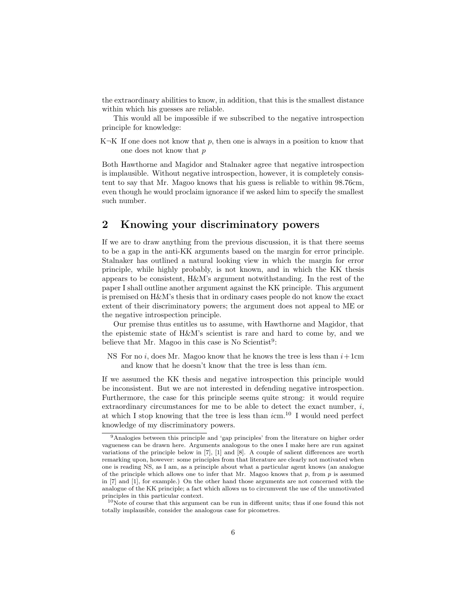the extraordinary abilities to know, in addition, that this is the smallest distance within which his guesses are reliable.

This would all be impossible if we subscribed to the negative introspection principle for knowledge:

K $\neg$ K If one does not know that p, then one is always in a position to know that one does not know that p

Both Hawthorne and Magidor and Stalnaker agree that negative introspection is implausible. Without negative introspection, however, it is completely consistent to say that Mr. Magoo knows that his guess is reliable to within 98.76cm, even though he would proclaim ignorance if we asked him to specify the smallest such number.

## 2 Knowing your discriminatory powers

If we are to draw anything from the previous discussion, it is that there seems to be a gap in the anti-KK arguments based on the margin for error principle. Stalnaker has outlined a natural looking view in which the margin for error principle, while highly probably, is not known, and in which the KK thesis appears to be consistent, H&M's argument notwithstanding. In the rest of the paper I shall outline another argument against the KK principle. This argument is premised on H&M's thesis that in ordinary cases people do not know the exact extent of their discriminatory powers; the argument does not appeal to ME or the negative introspection principle.

Our premise thus entitles us to assume, with Hawthorne and Magidor, that the epistemic state of H&M's scientist is rare and hard to come by, and we believe that Mr. Magoo in this case is No Scientist<sup>9</sup>:

NS For no i, does Mr. Magoo know that he knows the tree is less than  $i+1$ cm and know that he doesn't know that the tree is less than icm.

If we assumed the KK thesis and negative introspection this principle would be inconsistent. But we are not interested in defending negative introspection. Furthermore, the case for this principle seems quite strong: it would require extraordinary circumstances for me to be able to detect the exact number,  $i$ , at which I stop knowing that the tree is less than  $i$ cm.<sup>10</sup> I would need perfect knowledge of my discriminatory powers.

<sup>9</sup>Analogies between this principle and 'gap principles' from the literature on higher order vagueness can be drawn here. Arguments analogous to the ones I make here are run against variations of the principle below in [7], [1] and [8]. A couple of salient differences are worth remarking upon, however: some principles from that literature are clearly not motivated when one is reading NS, as I am, as a principle about what a particular agent knows (an analogue of the principle which allows one to infer that Mr. Magoo knows that  $p$ , from  $p$  is assumed in [7] and [1], for example.) On the other hand those arguments are not concerned with the analogue of the KK principle; a fact which allows us to circumvent the use of the unmotivated principles in this particular context.

 $10$ Note of course that this argument can be run in different units; thus if one found this not totally implausible, consider the analogous case for picometres.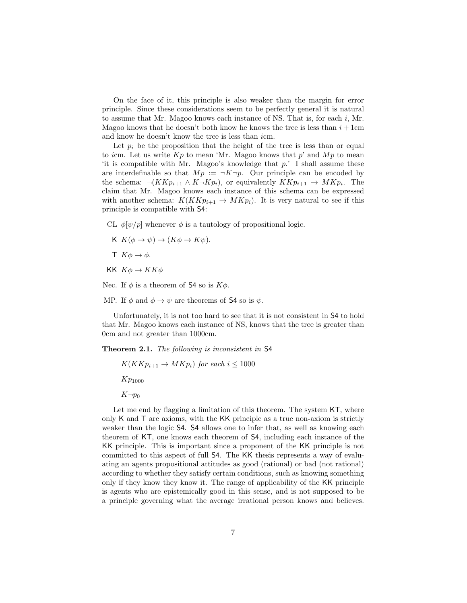On the face of it, this principle is also weaker than the margin for error principle. Since these considerations seem to be perfectly general it is natural to assume that Mr. Magoo knows each instance of NS. That is, for each  $i$ , Mr. Magoo knows that he doesn't both know he knows the tree is less than  $i + 1$ cm and know he doesn't know the tree is less than icm.

Let  $p_i$  be the proposition that the height of the tree is less than or equal to icm. Let us write  $Kp$  to mean 'Mr. Magoo knows that p' and  $Mp$  to mean 'it is compatible with Mr. Magoo's knowledge that  $p$ .' I shall assume these are interdefinable so that  $Mp := \neg K \neg p$ . Our principle can be encoded by the schema:  $\neg(KKp_{i+1} \land K\neg Kp_i)$ , or equivalently  $KKp_{i+1} \to MKp_i$ . The claim that Mr. Magoo knows each instance of this schema can be expressed with another schema:  $K(KKp_{i+1} \rightarrow MKp_i)$ . It is very natural to see if this principle is compatible with S4:

CL  $\phi[\psi/p]$  whenever  $\phi$  is a tautology of propositional logic.

- K  $K(\phi \to \psi) \to (K\phi \to K\psi)$ .
- $\mathsf{T} K \phi \rightarrow \phi$ .
- KK  $K\phi \rightarrow KK\phi$

Nec. If  $\phi$  is a theorem of S4 so is  $K\phi$ .

MP. If  $\phi$  and  $\phi \rightarrow \psi$  are theorems of S4 so is  $\psi$ .

Unfortunately, it is not too hard to see that it is not consistent in S4 to hold that Mr. Magoo knows each instance of NS, knows that the tree is greater than 0cm and not greater than 1000cm.

Theorem 2.1. The following is inconsistent in S4

 $K(KKp_{i+1} \to MKp_i)$  for each  $i \leq 1000$  $Kp_{1000}$  $K\neg p_0$ 

Let me end by flagging a limitation of this theorem. The system  $KT$ , where only K and T are axioms, with the KK principle as a true non-axiom is strictly weaker than the logic S4. S4 allows one to infer that, as well as knowing each theorem of KT, one knows each theorem of S4, including each instance of the KK principle. This is important since a proponent of the KK principle is not committed to this aspect of full S4. The KK thesis represents a way of evaluating an agents propositional attitudes as good (rational) or bad (not rational) according to whether they satisfy certain conditions, such as knowing something only if they know they know it. The range of applicability of the KK principle is agents who are epistemically good in this sense, and is not supposed to be a principle governing what the average irrational person knows and believes.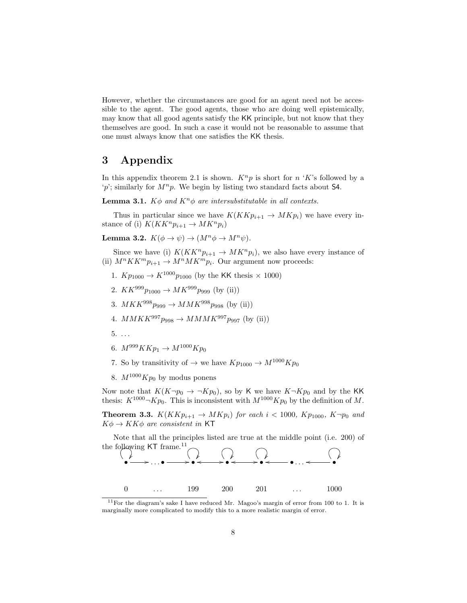However, whether the circumstances are good for an agent need not be accessible to the agent. The good agents, those who are doing well epistemically, may know that all good agents satisfy the KK principle, but not know that they themselves are good. In such a case it would not be reasonable to assume that one must always know that one satisfies the KK thesis.

## 3 Appendix

In this appendix theorem 2.1 is shown.  $K^n p$  is short for n 'K's followed by a 'p'; similarly for  $M^n p$ . We begin by listing two standard facts about S4.

**Lemma 3.1.**  $K\phi$  and  $K^n\phi$  are intersubstitutable in all contexts.

Thus in particular since we have  $K(KKp_{i+1} \to MKp_i)$  we have every instance of (i)  $K(KK^n p_{i+1} \to MK^n p_i)$ 

Lemma 3.2.  $K(\phi \to \psi) \to (M^n \phi \to M^n \psi)$ .

Since we have (i)  $K(KK^n p_{i+1} \to MK^n p_i)$ , we also have every instance of (ii)  $M^n K K^m p_{i+1} \to M^n M K^m p_i$ . Our argument now proceeds:

- 1.  $Kp_{1000} \to K^{1000}p_{1000}$  (by the KK thesis  $\times$  1000)
- 2.  $KK^{999}p_{1000} \rightarrow MK^{999}p_{999}$  (by (ii))
- 3.  $MKK^{998}p_{999} \to MMK^{998}p_{998}$  (by (ii))
- 4.  $MMKK^{997}p_{998} \to MMMK^{997}p_{997}$  (by (ii))
- $5. \ldots$
- 6.  $M^{999}KKp_1 \rightarrow M^{1000}Kp_0$
- 7. So by transitivity of  $\rightarrow$  we have  $Kp_{1000} \rightarrow M^{1000}Kp_0$
- 8.  $M^{1000}Kp_0$  by modus ponens

Now note that  $K(K\neg p_0 \rightarrow \neg Kp_0)$ , so by K we have  $K\neg Kp_0$  and by the KK thesis:  $K^{1000} \neg K p_0$ . This is inconsistent with  $M^{1000} K p_0$  by the definition of M.

**Theorem 3.3.**  $K(KKp_{i+1} \rightarrow MKp_i)$  for each  $i < 1000$ ,  $Kp_{1000}$ ,  $K\neg p_0$  and  $K\phi \to KK\phi$  are consistent in KT

Note that all the principles listed are true at the middle point (i.e. 200) of the following  $KT$  frame.<sup>11</sup>



 $11$ For the diagram's sake I have reduced Mr. Magoo's margin of error from 100 to 1. It is marginally more complicated to modify this to a more realistic margin of error.